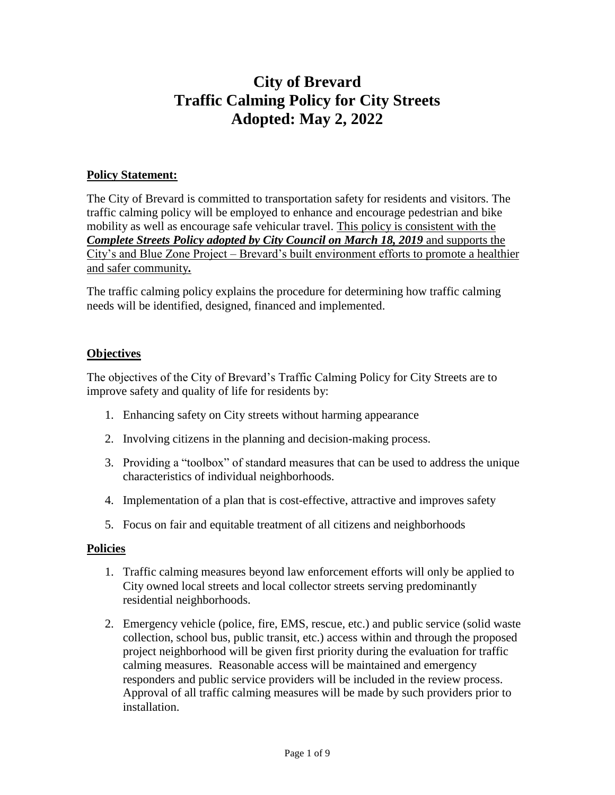# **City of Brevard Traffic Calming Policy for City Streets Adopted: May 2, 2022**

#### **Policy Statement:**

The City of Brevard is committed to transportation safety for residents and visitors. The traffic calming policy will be employed to enhance and encourage pedestrian and bike mobility as well as encourage safe vehicular travel. This policy is consistent with the *Complete Streets Policy adopted by City Council on March 18, 2019 and supports the* City's and Blue Zone Project – Brevard's built environment efforts to promote a healthier and safer community*.*

The traffic calming policy explains the procedure for determining how traffic calming needs will be identified, designed, financed and implemented.

#### **Objectives**

The objectives of the City of Brevard's Traffic Calming Policy for City Streets are to improve safety and quality of life for residents by:

- 1. Enhancing safety on City streets without harming appearance
- 2. Involving citizens in the planning and decision-making process.
- 3. Providing a "toolbox" of standard measures that can be used to address the unique characteristics of individual neighborhoods.
- 4. Implementation of a plan that is cost-effective, attractive and improves safety
- 5. Focus on fair and equitable treatment of all citizens and neighborhoods

#### **Policies**

- 1. Traffic calming measures beyond law enforcement efforts will only be applied to City owned local streets and local collector streets serving predominantly residential neighborhoods.
- 2. Emergency vehicle (police, fire, EMS, rescue, etc.) and public service (solid waste collection, school bus, public transit, etc.) access within and through the proposed project neighborhood will be given first priority during the evaluation for traffic calming measures. Reasonable access will be maintained and emergency responders and public service providers will be included in the review process. Approval of all traffic calming measures will be made by such providers prior to installation.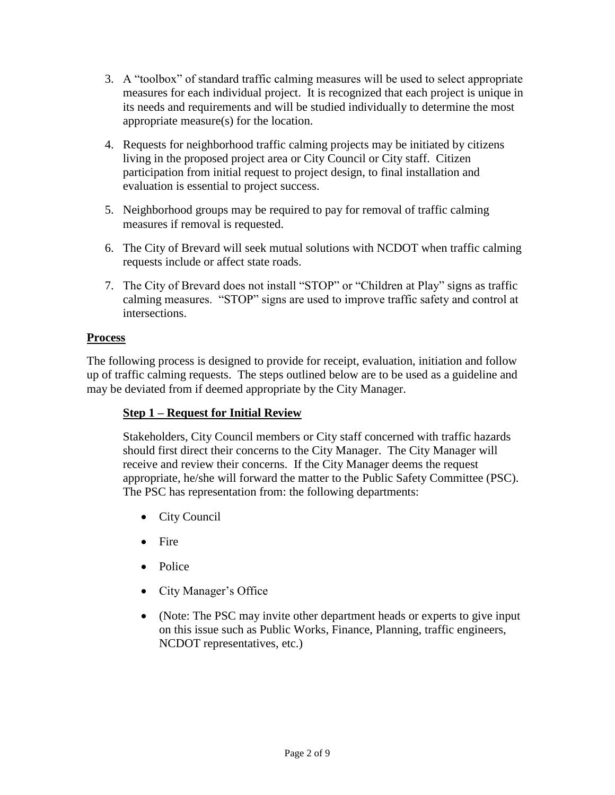- 3. A "toolbox" of standard traffic calming measures will be used to select appropriate measures for each individual project. It is recognized that each project is unique in its needs and requirements and will be studied individually to determine the most appropriate measure(s) for the location.
- 4. Requests for neighborhood traffic calming projects may be initiated by citizens living in the proposed project area or City Council or City staff. Citizen participation from initial request to project design, to final installation and evaluation is essential to project success.
- 5. Neighborhood groups may be required to pay for removal of traffic calming measures if removal is requested.
- 6. The City of Brevard will seek mutual solutions with NCDOT when traffic calming requests include or affect state roads.
- 7. The City of Brevard does not install "STOP" or "Children at Play" signs as traffic calming measures. "STOP" signs are used to improve traffic safety and control at intersections.

#### **Process**

The following process is designed to provide for receipt, evaluation, initiation and follow up of traffic calming requests. The steps outlined below are to be used as a guideline and may be deviated from if deemed appropriate by the City Manager.

### **Step 1 – Request for Initial Review**

Stakeholders, City Council members or City staff concerned with traffic hazards should first direct their concerns to the City Manager. The City Manager will receive and review their concerns. If the City Manager deems the request appropriate, he/she will forward the matter to the Public Safety Committee (PSC). The PSC has representation from: the following departments:

- City Council
- Fire
- Police
- City Manager's Office
- (Note: The PSC may invite other department heads or experts to give input on this issue such as Public Works, Finance, Planning, traffic engineers, NCDOT representatives, etc.)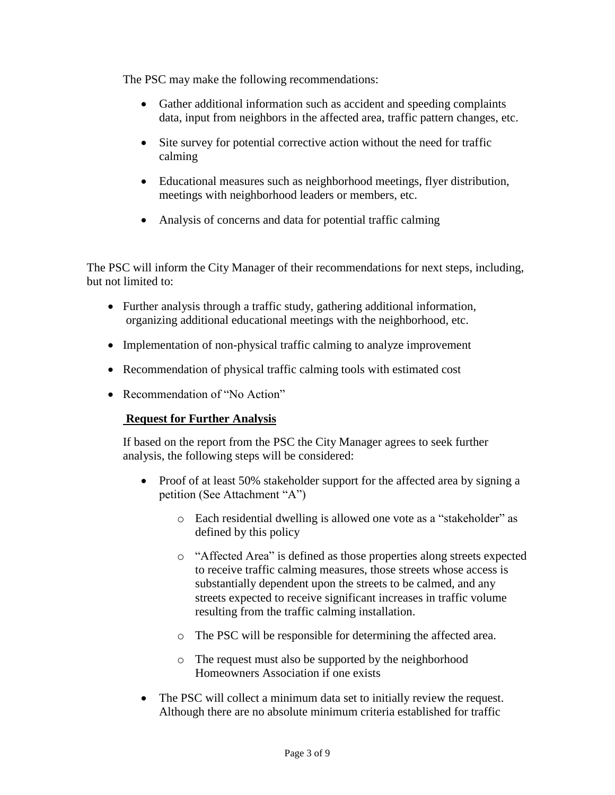The PSC may make the following recommendations:

- Gather additional information such as accident and speeding complaints data, input from neighbors in the affected area, traffic pattern changes, etc.
- Site survey for potential corrective action without the need for traffic calming
- Educational measures such as neighborhood meetings, flyer distribution, meetings with neighborhood leaders or members, etc.
- Analysis of concerns and data for potential traffic calming

The PSC will inform the City Manager of their recommendations for next steps, including, but not limited to:

- Further analysis through a traffic study, gathering additional information, organizing additional educational meetings with the neighborhood, etc.
- Implementation of non-physical traffic calming to analyze improvement
- Recommendation of physical traffic calming tools with estimated cost
- Recommendation of "No Action"

#### **Request for Further Analysis**

If based on the report from the PSC the City Manager agrees to seek further analysis, the following steps will be considered:

- Proof of at least 50% stakeholder support for the affected area by signing a petition (See Attachment "A")
	- o Each residential dwelling is allowed one vote as a "stakeholder" as defined by this policy
	- o "Affected Area" is defined as those properties along streets expected to receive traffic calming measures, those streets whose access is substantially dependent upon the streets to be calmed, and any streets expected to receive significant increases in traffic volume resulting from the traffic calming installation.
	- o The PSC will be responsible for determining the affected area.
	- o The request must also be supported by the neighborhood Homeowners Association if one exists
- The PSC will collect a minimum data set to initially review the request. Although there are no absolute minimum criteria established for traffic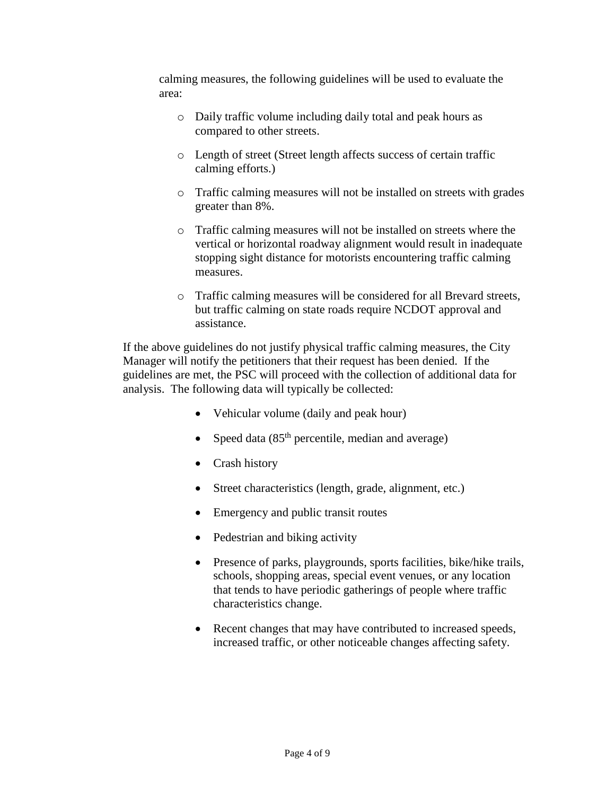calming measures, the following guidelines will be used to evaluate the area:

- o Daily traffic volume including daily total and peak hours as compared to other streets.
- o Length of street (Street length affects success of certain traffic calming efforts.)
- o Traffic calming measures will not be installed on streets with grades greater than 8%.
- o Traffic calming measures will not be installed on streets where the vertical or horizontal roadway alignment would result in inadequate stopping sight distance for motorists encountering traffic calming measures.
- o Traffic calming measures will be considered for all Brevard streets, but traffic calming on state roads require NCDOT approval and assistance.

If the above guidelines do not justify physical traffic calming measures, the City Manager will notify the petitioners that their request has been denied. If the guidelines are met, the PSC will proceed with the collection of additional data for analysis. The following data will typically be collected:

- Vehicular volume (daily and peak hour)
- Speed data  $(85<sup>th</sup>$  percentile, median and average)
- Crash history
- Street characteristics (length, grade, alignment, etc.)
- Emergency and public transit routes
- Pedestrian and biking activity
- Presence of parks, playgrounds, sports facilities, bike/hike trails, schools, shopping areas, special event venues, or any location that tends to have periodic gatherings of people where traffic characteristics change.
- Recent changes that may have contributed to increased speeds, increased traffic, or other noticeable changes affecting safety.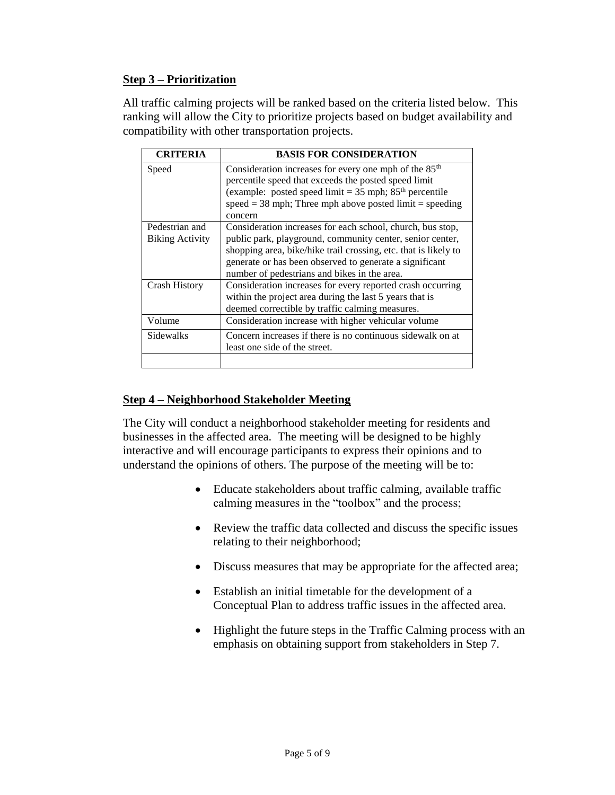#### **Step 3 – Prioritization**

All traffic calming projects will be ranked based on the criteria listed below. This ranking will allow the City to prioritize projects based on budget availability and compatibility with other transportation projects.

| <b>CRITERIA</b>                          | <b>BASIS FOR CONSIDERATION</b>                                                                                                                                                                                                                                                                        |  |  |
|------------------------------------------|-------------------------------------------------------------------------------------------------------------------------------------------------------------------------------------------------------------------------------------------------------------------------------------------------------|--|--|
| Speed                                    | Consideration increases for every one mph of the 85 <sup>th</sup><br>percentile speed that exceeds the posted speed limit<br>(example: posted speed limit = $35$ mph; $85th$ percentile<br>speed = 38 mph; Three mph above posted $limit = speeding$<br>concern                                       |  |  |
| Pedestrian and<br><b>Biking Activity</b> | Consideration increases for each school, church, bus stop,<br>public park, playground, community center, senior center,<br>shopping area, bike/hike trail crossing, etc. that is likely to<br>generate or has been observed to generate a significant<br>number of pedestrians and bikes in the area. |  |  |
| <b>Crash History</b>                     | Consideration increases for every reported crash occurring<br>within the project area during the last 5 years that is<br>deemed correctible by traffic calming measures.                                                                                                                              |  |  |
| Volume                                   | Consideration increase with higher vehicular volume                                                                                                                                                                                                                                                   |  |  |
| <b>Sidewalks</b>                         | Concern increases if there is no continuous sidewalk on at<br>least one side of the street.                                                                                                                                                                                                           |  |  |

### **Step 4 – Neighborhood Stakeholder Meeting**

The City will conduct a neighborhood stakeholder meeting for residents and businesses in the affected area. The meeting will be designed to be highly interactive and will encourage participants to express their opinions and to understand the opinions of others. The purpose of the meeting will be to:

- Educate stakeholders about traffic calming, available traffic calming measures in the "toolbox" and the process;
- Review the traffic data collected and discuss the specific issues relating to their neighborhood;
- Discuss measures that may be appropriate for the affected area;
- Establish an initial timetable for the development of a Conceptual Plan to address traffic issues in the affected area.
- Highlight the future steps in the Traffic Calming process with an emphasis on obtaining support from stakeholders in Step 7.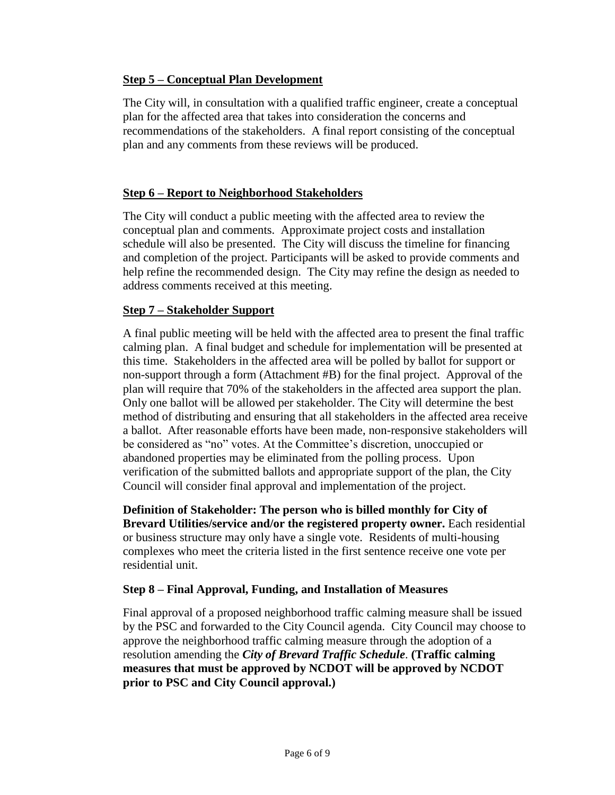#### **Step 5 – Conceptual Plan Development**

The City will, in consultation with a qualified traffic engineer, create a conceptual plan for the affected area that takes into consideration the concerns and recommendations of the stakeholders. A final report consisting of the conceptual plan and any comments from these reviews will be produced.

#### **Step 6 – Report to Neighborhood Stakeholders**

The City will conduct a public meeting with the affected area to review the conceptual plan and comments. Approximate project costs and installation schedule will also be presented. The City will discuss the timeline for financing and completion of the project. Participants will be asked to provide comments and help refine the recommended design. The City may refine the design as needed to address comments received at this meeting.

#### **Step 7 – Stakeholder Support**

A final public meeting will be held with the affected area to present the final traffic calming plan. A final budget and schedule for implementation will be presented at this time. Stakeholders in the affected area will be polled by ballot for support or non-support through a form (Attachment #B) for the final project. Approval of the plan will require that 70% of the stakeholders in the affected area support the plan. Only one ballot will be allowed per stakeholder. The City will determine the best method of distributing and ensuring that all stakeholders in the affected area receive a ballot. After reasonable efforts have been made, non-responsive stakeholders will be considered as "no" votes. At the Committee's discretion, unoccupied or abandoned properties may be eliminated from the polling process. Upon verification of the submitted ballots and appropriate support of the plan, the City Council will consider final approval and implementation of the project.

**Definition of Stakeholder: The person who is billed monthly for City of Brevard Utilities/service and/or the registered property owner.** Each residential or business structure may only have a single vote. Residents of multi-housing complexes who meet the criteria listed in the first sentence receive one vote per residential unit.

#### **Step 8 – Final Approval, Funding, and Installation of Measures**

Final approval of a proposed neighborhood traffic calming measure shall be issued by the PSC and forwarded to the City Council agenda. City Council may choose to approve the neighborhood traffic calming measure through the adoption of a resolution amending the *City of Brevard Traffic Schedule*. **(Traffic calming measures that must be approved by NCDOT will be approved by NCDOT prior to PSC and City Council approval.)**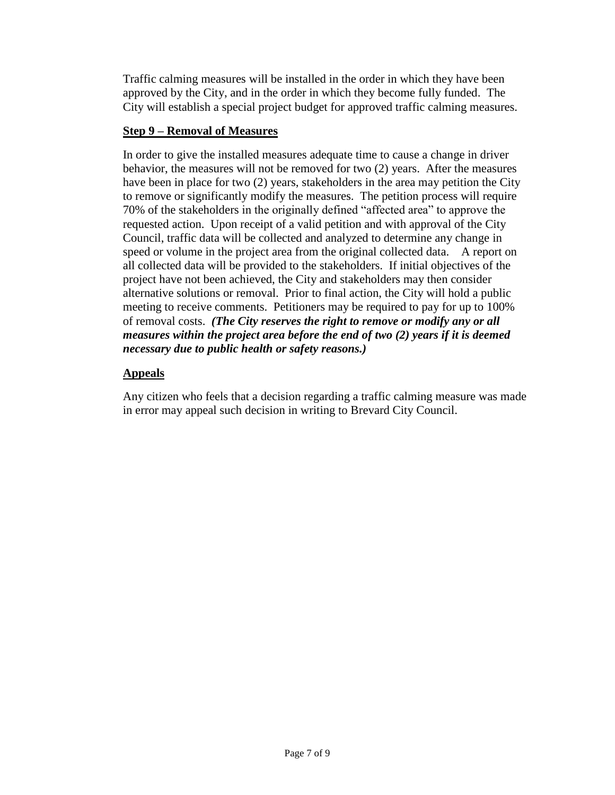Traffic calming measures will be installed in the order in which they have been approved by the City, and in the order in which they become fully funded. The City will establish a special project budget for approved traffic calming measures.

#### **Step 9 – Removal of Measures**

In order to give the installed measures adequate time to cause a change in driver behavior, the measures will not be removed for two (2) years. After the measures have been in place for two (2) years, stakeholders in the area may petition the City to remove or significantly modify the measures. The petition process will require 70% of the stakeholders in the originally defined "affected area" to approve the requested action. Upon receipt of a valid petition and with approval of the City Council, traffic data will be collected and analyzed to determine any change in speed or volume in the project area from the original collected data. A report on all collected data will be provided to the stakeholders. If initial objectives of the project have not been achieved, the City and stakeholders may then consider alternative solutions or removal. Prior to final action, the City will hold a public meeting to receive comments. Petitioners may be required to pay for up to 100% of removal costs. *(The City reserves the right to remove or modify any or all measures within the project area before the end of two (2) years if it is deemed necessary due to public health or safety reasons.)*

### **Appeals**

Any citizen who feels that a decision regarding a traffic calming measure was made in error may appeal such decision in writing to Brevard City Council.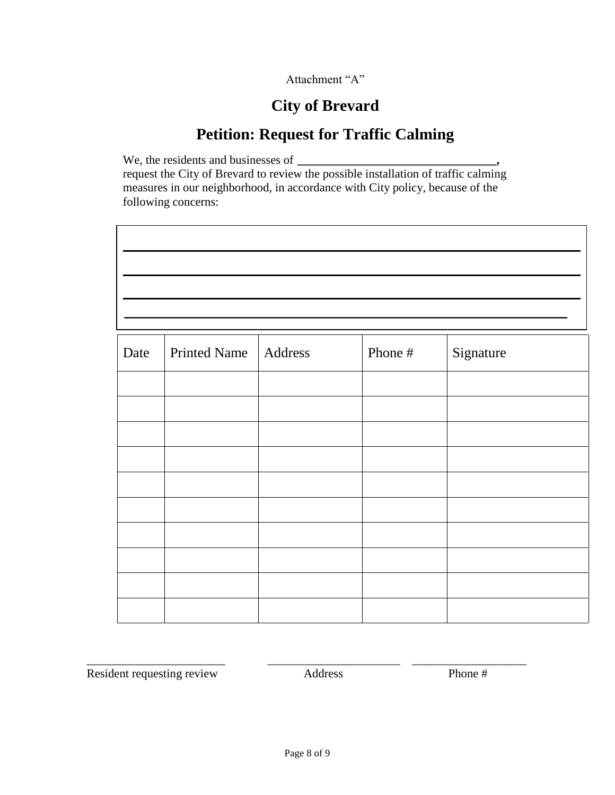Attachment "A"

# **City of Brevard**

# **Petition: Request for Traffic Calming**

We, the residents and businesses of  $\overline{\phantom{a}}$ request the City of Brevard to review the possible installation of traffic calming measures in our neighborhood, in accordance with City policy, because of the following concerns:

| Date | <b>Printed Name</b> | Address | Phone # | Signature |  |  |
|------|---------------------|---------|---------|-----------|--|--|
|      |                     |         |         |           |  |  |
|      |                     |         |         |           |  |  |
|      |                     |         |         |           |  |  |
|      |                     |         |         |           |  |  |
|      |                     |         |         |           |  |  |
|      |                     |         |         |           |  |  |
|      |                     |         |         |           |  |  |
|      |                     |         |         |           |  |  |
|      |                     |         |         |           |  |  |
|      |                     |         |         |           |  |  |

Resident requesting review Address Phone #

\_\_\_\_\_\_\_\_\_\_\_\_\_\_\_\_\_\_\_\_\_\_\_ \_\_\_\_\_\_\_\_\_\_\_\_\_\_\_\_\_\_\_\_\_\_ \_\_\_\_\_\_\_\_\_\_\_\_\_\_\_\_\_\_\_